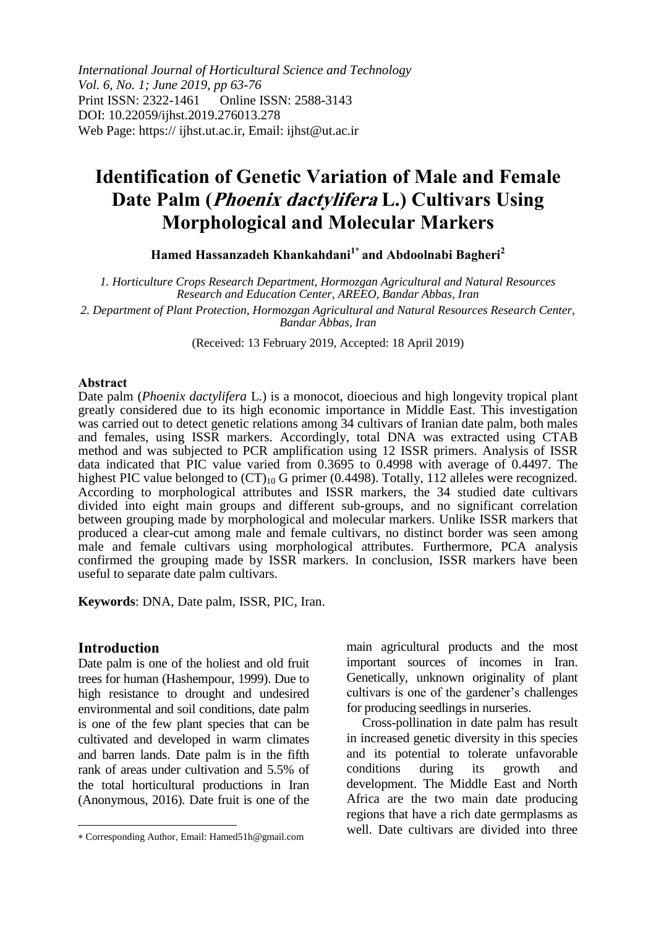*International Journal of Horticultural Science and Technology Vol. 6, No. 1; June 2019, pp 63-76* Print ISSN: 2322-1461 Online ISSN: 2588-3143 DOI: 10.22059/ijhst.2019.276013.278 Web Page: https:// ijhst.ut.ac.ir, Email: ijhst@ut.ac.ir

# **Identification of Genetic Variation of Male and Female Date Palm (Phoenix dactylifera L.) Cultivars Using Morphological and Molecular Markers**

**Hamed Hassanzadeh Khankahdani1\* and Abdoolnabi Bagheri<sup>2</sup>**

*1. Horticulture Crops Research Department, Hormozgan Agricultural and Natural Resources Research and Education Center, AREEO, Bandar Abbas, Iran*

*2. Department of Plant Protection, Hormozgan Agricultural and Natural Resources Research Center, Bandar Abbas, Iran*

(Received: 13 February 2019, Accepted: 18 April 2019)

#### **Abstract**

Date palm (*Phoenix dactylifera* L.) is a monocot, dioecious and high longevity tropical plant greatly considered due to its high economic importance in Middle East. This investigation was carried out to detect genetic relations among 34 cultivars of Iranian date palm, both males and females, using ISSR markers. Accordingly, total DNA was extracted using CTAB method and was subjected to PCR amplification using 12 ISSR primers. Analysis of ISSR data indicated that PIC value varied from 0.3695 to 0.4998 with average of 0.4497. The highest PIC value belonged to  $(CT)_{10}$  G primer (0.4498). Totally, 112 alleles were recognized. According to morphological attributes and ISSR markers, the 34 studied date cultivars divided into eight main groups and different sub-groups, and no significant correlation between grouping made by morphological and molecular markers. Unlike ISSR markers that produced a clear-cut among male and female cultivars, no distinct border was seen among male and female cultivars using morphological attributes. Furthermore, PCA analysis confirmed the grouping made by ISSR markers. In conclusion, ISSR markers have been useful to separate date palm cultivars.

**Keywords**: DNA, Date palm, ISSR, PIC, Iran.

#### **Introduction**

 $\overline{\phantom{a}}$ 

Date palm is one of the holiest and old fruit trees for human (Hashempour, 1999). Due to high resistance to drought and undesired environmental and soil conditions, date palm is one of the few plant species that can be cultivated and developed in warm climates and barren lands. Date palm is in the fifth rank of areas under cultivation and 5.5% of the total horticultural productions in Iran (Anonymous, 2016). Date fruit is one of the

main agricultural products and the most important sources of incomes in Iran. Genetically, unknown originality of plant cultivars is one of the gardener's challenges for producing seedlings in nurseries.

Cross-pollination in date palm has result in increased genetic diversity in this species and its potential to tolerate unfavorable conditions during its growth and development. The Middle East and North Africa are the two main date producing regions that have a rich date germplasms as well. Date cultivars are divided into three

Corresponding Author, Email: Hamed51h@gmail.com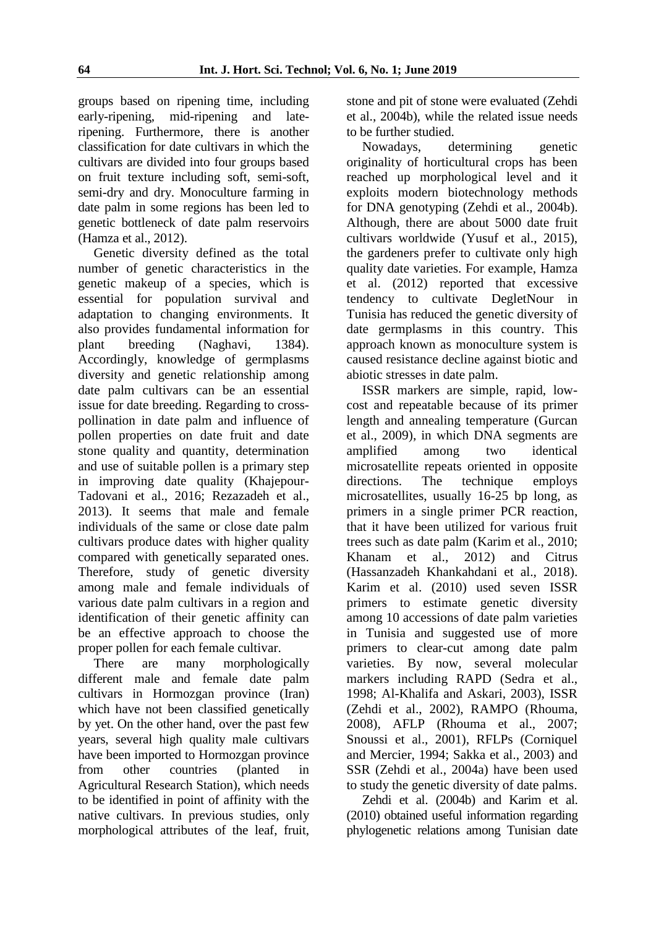groups based on ripening time, including early-ripening, mid-ripening and lateripening. Furthermore, there is another classification for date cultivars in which the cultivars are divided into four groups based on fruit texture including soft, semi-soft, semi-dry and dry. Monoculture farming in date palm in some regions has been led to genetic bottleneck of date palm reservoirs (Hamza et al., 2012).

Genetic diversity defined as the total number of genetic characteristics in the genetic makeup of a species, which is essential for population survival and adaptation to changing environments. It also provides fundamental information for plant breeding (Naghavi, 1384). Accordingly, knowledge of germplasms diversity and genetic relationship among date palm cultivars can be an essential issue for date breeding. Regarding to crosspollination in date palm and influence of pollen properties on date fruit and date stone quality and quantity, determination and use of suitable pollen is a primary step in improving date quality (Khajepour-Tadovani et al., 2016; Rezazadeh et al., 2013). It seems that male and female individuals of the same or close date palm cultivars produce dates with higher quality compared with genetically separated ones. Therefore, study of genetic diversity among male and female individuals of various date palm cultivars in a region and identification of their genetic affinity can be an effective approach to choose the proper pollen for each female cultivar.

There are many morphologically different male and female date palm cultivars in Hormozgan province (Iran) which have not been classified genetically by yet. On the other hand, over the past few years, several high quality male cultivars have been imported to Hormozgan province from other countries (planted in Agricultural Research Station), which needs to be identified in point of affinity with the native cultivars. In previous studies, only morphological attributes of the leaf, fruit, stone and pit of stone were evaluated (Zehdi et al., 2004b), while the related issue needs to be further studied.

Nowadays, determining genetic originality of horticultural crops has been reached up morphological level and it exploits modern biotechnology methods for DNA genotyping (Zehdi et al., 2004b). Although, there are about 5000 date fruit cultivars worldwide (Yusuf et al., 2015), the gardeners prefer to cultivate only high quality date varieties. For example, Hamza et al. (2012) reported that excessive tendency to cultivate DegletNour in Tunisia has reduced the genetic diversity of date germplasms in this country. This approach known as monoculture system is caused resistance decline against biotic and abiotic stresses in date palm.

ISSR markers are simple, rapid, lowcost and repeatable because of its primer length and annealing temperature (Gurcan et al., 2009), in which DNA segments are amplified among two identical microsatellite repeats oriented in opposite directions. The technique employs microsatellites, usually 16-25 bp long, as primers in a single primer PCR reaction, that it have been utilized for various fruit trees such as date palm (Karim et al., 2010; Khanam et al., 2012) and Citrus (Hassanzadeh Khankahdani et al., 2018). Karim et al. (2010) used seven ISSR primers to estimate genetic diversity among 10 accessions of date palm varieties in Tunisia and suggested use of more primers to clear-cut among date palm varieties. By now, several molecular markers including RAPD (Sedra et al., 1998; Al-Khalifa and Askari, 2003), ISSR (Zehdi et al., 2002), RAMPO (Rhouma, 2008), AFLP (Rhouma et al., 2007; Snoussi et al., 2001), RFLPs (Corniquel and Mercier, 1994; Sakka et al., 2003) and SSR (Zehdi et al., 2004a) have been used to study the genetic diversity of date palms.

Zehdi et al. (2004b) and Karim et al. (2010) obtained useful information regarding phylogenetic relations among Tunisian date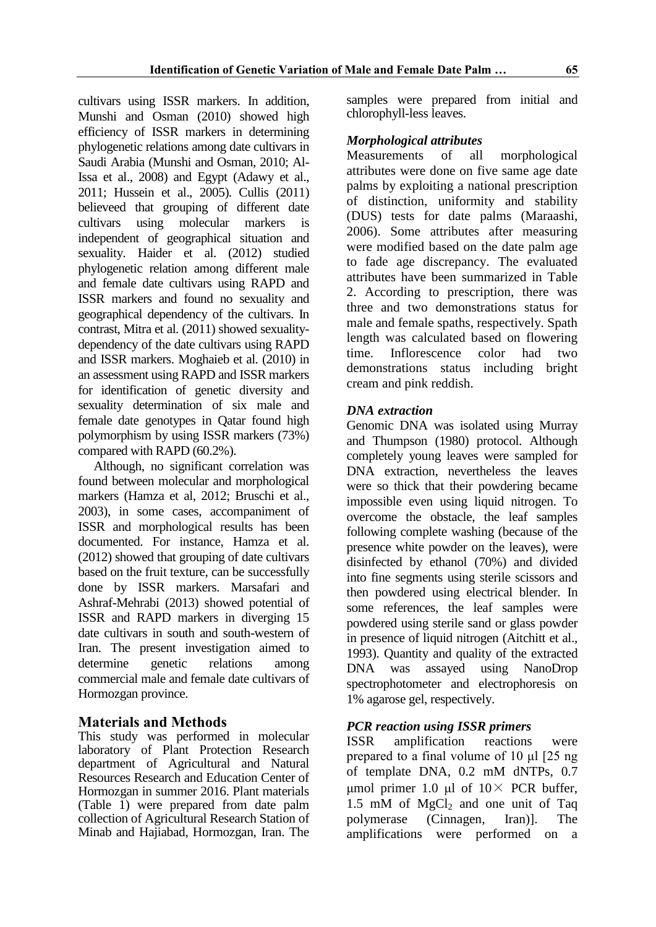cultivars using ISSR markers. In addition, Munshi and Osman (2010) showed high efficiency of ISSR markers in determining phylogenetic relations among date cultivars in Saudi Arabia (Munshi and Osman, 2010; Al-Issa et al., 2008) and Egypt (Adawy et al., 2011; Hussein et al., 2005). Cullis (2011) believeed that grouping of different date cultivars using molecular markers is independent of geographical situation and sexuality. Haider et al. (2012) studied phylogenetic relation among different male and female date cultivars using RAPD and ISSR markers and found no sexuality and geographical dependency of the cultivars. In contrast, Mitra et al. (2011) showed sexualitydependency of the date cultivars using RAPD and ISSR markers. Moghaieb et al. (2010) in an assessment using RAPD and ISSR markers for identification of genetic diversity and sexuality determination of six male and female date genotypes in Qatar found high polymorphism by using ISSR markers (73%) compared with RAPD (60.2%).

Although, no significant correlation was found between molecular and morphological markers (Hamza et al, 2012; Bruschi et al., 2003), in some cases, accompaniment of ISSR and morphological results has been documented. For instance, Hamza et al. (2012) showed that grouping of date cultivars based on the fruit texture, can be successfully done by ISSR markers. Marsafari and Ashraf-Mehrabi (2013) showed potential of ISSR and RAPD markers in diverging 15 date cultivars in south and south-western of Iran. The present investigation aimed to determine genetic relations among commercial male and female date cultivars of Hormozgan province.

# **Materials and Methods**

This study was performed in molecular laboratory of Plant Protection Research department of Agricultural and Natural Resources Research and Education Center of Hormozgan in summer 2016. Plant materials (Table 1) were prepared from date palm collection of Agricultural Research Station of Minab and Hajiabad, Hormozgan, Iran. The

samples were prepared from initial and chlorophyll-less leaves.

## *Morphological attributes*

Measurements of all morphological attributes were done on five same age date palms by exploiting a national prescription of distinction, uniformity and stability (DUS) tests for date palms (Maraashi, 2006). Some attributes after measuring were modified based on the date palm age to fade age discrepancy. The evaluated attributes have been summarized in Table 2. According to prescription, there was three and two demonstrations status for male and female spaths, respectively. Spath length was calculated based on flowering time. Inflorescence color had two demonstrations status including bright cream and pink reddish.

## *DNA extraction*

Genomic DNA was isolated using Murray and Thumpson (1980) protocol. Although completely young leaves were sampled for DNA extraction, nevertheless the leaves were so thick that their powdering became impossible even using liquid nitrogen. To overcome the obstacle, the leaf samples following complete washing (because of the presence white powder on the leaves), were disinfected by ethanol (70%) and divided into fine segments using sterile scissors and then powdered using electrical blender. In some references, the leaf samples were powdered using sterile sand or glass powder in presence of liquid nitrogen (Aitchitt et al., 1993). Quantity and quality of the extracted DNA was assayed using NanoDrop spectrophotometer and electrophoresis on 1% agarose gel, respectively.

# *PCR reaction using ISSR primers*

ISSR amplification reactions were prepared to a final volume of 10 μl [25 ng of template DNA, 0.2 mM dNTPs, 0.7 μmol primer 1.0 μl of  $10 \times$  PCR buffer, 1.5 mM of  $MgCl<sub>2</sub>$  and one unit of Taq polymerase (Cinnagen, Iran)]. The amplifications were performed on a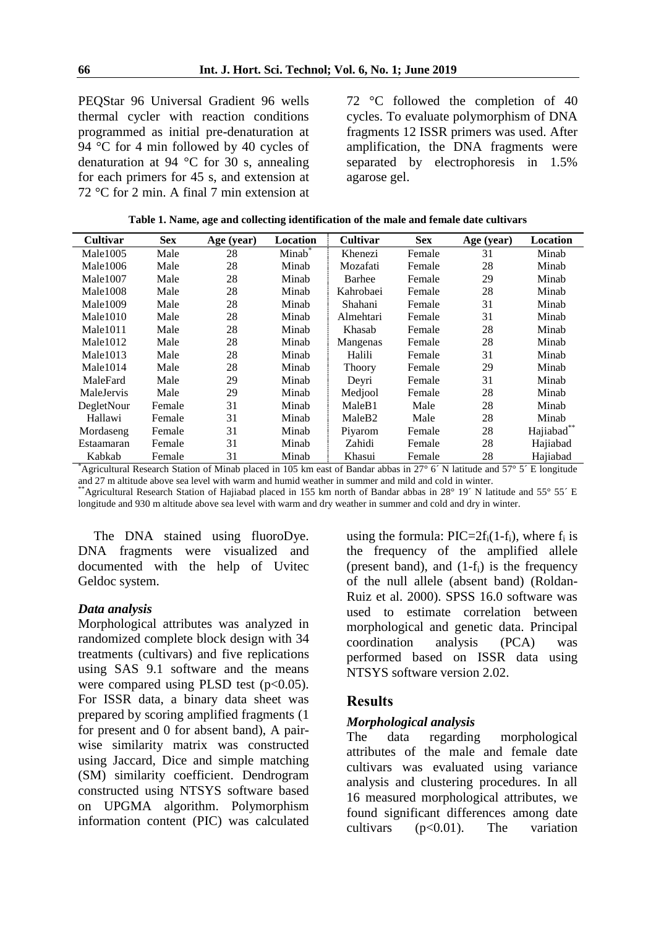PEQStar 96 Universal Gradient 96 wells thermal cycler with reaction conditions programmed as initial pre-denaturation at 94 °C for 4 min followed by 40 cycles of denaturation at 94 °C for 30 s, annealing for each primers for 45 s, and extension at 72 °C for 2 min. A final 7 min extension at 72 °C followed the completion of 40 cycles. To evaluate polymorphism of DNA fragments 12 ISSR primers was used. After amplification, the DNA fragments were separated by electrophoresis in 1.5% agarose gel.

**Table 1. Name, age and collecting identification of the male and female date cultivars**

| <b>Cultivar</b>      | <b>Sex</b> | Age (year) | <b>Location</b>    | <b>Cultivar</b><br><b>Sex</b> |        | Age (year) | <b>Location</b> |
|----------------------|------------|------------|--------------------|-------------------------------|--------|------------|-----------------|
| Male1005             | Male       | 28         | Minab <sup>®</sup> | Khenezi<br>Female             |        | 31         | Minab           |
| Male1006             | Male       | 28         | Minab              | Mozafati                      | Female | 28         | Minab           |
| Male <sub>1007</sub> | Male       | 28         | Minab              | Barhee                        | Female | 29         | Minab           |
| Male1008             | Male       | 28         | Minab              | Kahrobaei                     | Female | 28         | Minab           |
| Male1009             | Male       | 28         | Minab              | Shahani                       | Female | 31         | Minab           |
| Male1010             | Male       | 28         | Minab              | Almehtari                     | Female | 31         | Minab           |
| Male1011             | Male       | 28         | Minab              | Khasab                        | Female | 28         | Minab           |
| Male <sub>1012</sub> | Male       | 28         | Minab              | Mangenas                      | Female | 28         | Minab           |
| Male1013             | Male       | 28         | Minab              | Halili                        | Female | 31         | Minab           |
| Male1014             | Male       | 28         | Minab              | Thoory                        | Female | 29         | Minab           |
| MaleFard             | Male       | 29         | Minab              | Devri                         | Female | 31         | Minab           |
| MaleJervis           | Male       | 29         | Minab              | Mediool                       | Female | 28         | Minab           |
| DegletNour           | Female     | 31         | Minab              | MaleB1                        | Male   | 28         | Minab           |
| Hallawi              | Female     | 31         | Minab              | MaleB <sub>2</sub>            | Male   | 28         | Minab           |
| Mordaseng            | Female     | 31         | Minab              | Piyarom                       | Female | 28         | Hajiabad**      |
| Estaamaran           | Female     | 31         | Minab              | Zahidi                        | Female | 28         | Hajiabad        |
| Kabkab               | Female     | 31         | Minab              | Khasui                        | Female | 28         | Hajiabad        |

\*Agricultural Research Station of Minab placed in 105 km east of Bandar abbas in 27° 6´ N latitude and 57° 5´ E longitude and 27 m altitude above sea level with warm and humid weather in summer and mild and cold in winter.

\*Agricultural Research Station of Hajiabad placed in 155 km north of Bandar abbas in 28° 19´ N latitude and 55° 55´ E longitude and 930 m altitude above sea level with warm and dry weather in summer and cold and dry in winter.

The DNA stained using fluoroDye. DNA fragments were visualized and documented with the help of Uvitec Geldoc system.

## *Data analysis*

Morphological attributes was analyzed in randomized complete block design with 34 treatments (cultivars) and five replications using SAS 9.1 software and the means were compared using PLSD test  $(p<0.05)$ . For ISSR data, a binary data sheet was prepared by scoring amplified fragments (1 for present and 0 for absent band), A pairwise similarity matrix was constructed using Jaccard, Dice and simple matching (SM) similarity coefficient. Dendrogram constructed using NTSYS software based on UPGMA algorithm. Polymorphism information content (PIC) was calculated using the formula:  $\text{PIC}=2f_i(1-f_i)$ , where  $f_i$  is the frequency of the amplified allele (present band), and  $(1-f_i)$  is the frequency of the null allele (absent band) (Roldan-Ruiz et al. 2000). SPSS 16.0 software was used to estimate correlation between morphological and genetic data. Principal coordination analysis (PCA) was performed based on ISSR data using NTSYS software version 2.02.

# **Results**

# *Morphological analysis*

The data regarding morphological attributes of the male and female date cultivars was evaluated using variance analysis and clustering procedures. In all 16 measured morphological attributes, we found significant differences among date cultivars  $(p<0.01)$ . The variation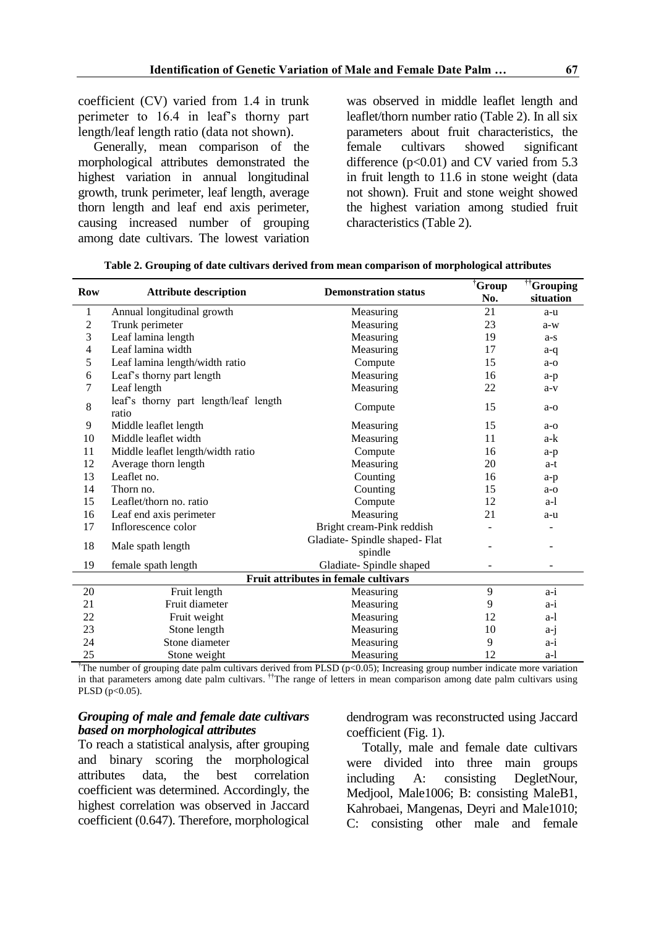coefficient (CV) varied from 1.4 in trunk perimeter to 16.4 in leaf's thorny part length/leaf length ratio (data not shown).

Generally, mean comparison of the morphological attributes demonstrated the highest variation in annual longitudinal growth, trunk perimeter, leaf length, average thorn length and leaf end axis perimeter, causing increased number of grouping among date cultivars. The lowest variation

was observed in middle leaflet length and leaflet/thorn number ratio (Table 2). In all six parameters about fruit characteristics, the female cultivars showed significant difference  $(p<0.01)$  and CV varied from 5.3 in fruit length to 11.6 in stone weight (data not shown). Fruit and stone weight showed the highest variation among studied fruit characteristics (Table 2).

| <b>Row</b>                                  | <b>Attribute description</b>                   | <b>Demonstration status</b>               | †Group | $\mathbf{f}^{\dagger}$ Grouping |  |  |  |  |
|---------------------------------------------|------------------------------------------------|-------------------------------------------|--------|---------------------------------|--|--|--|--|
|                                             |                                                |                                           | No.    | situation                       |  |  |  |  |
| 1                                           | Annual longitudinal growth                     | Measuring                                 | 21     | a-u                             |  |  |  |  |
| $\mathfrak{2}$                              | Trunk perimeter                                | Measuring                                 | 23     | $a-w$                           |  |  |  |  |
| 3                                           | Leaf lamina length                             | Measuring                                 | 19     | a-s                             |  |  |  |  |
| 4                                           | Leaf lamina width                              | Measuring                                 | 17     | a-q                             |  |  |  |  |
| 5                                           | Leaf lamina length/width ratio                 | Compute                                   | 15     | $a-o$                           |  |  |  |  |
| 6                                           | Leaf's thorny part length                      | Measuring                                 | 16     | a-p                             |  |  |  |  |
| 7                                           | Leaf length                                    | Measuring                                 | 22     | $a-v$                           |  |  |  |  |
| 8                                           | leaf's thorny part length/leaf length<br>ratio | Compute                                   | 15     | $a - o$                         |  |  |  |  |
| 9                                           | Middle leaflet length                          | Measuring                                 | 15     | $a - o$                         |  |  |  |  |
| 10                                          | Middle leaflet width                           | Measuring                                 | 11     | a-k                             |  |  |  |  |
| 11                                          | Middle leaflet length/width ratio              | Compute                                   | 16     | $a-p$                           |  |  |  |  |
| 12                                          | Average thorn length                           | Measuring                                 | 20     | a-t                             |  |  |  |  |
| 13                                          | Leaflet no.                                    | Counting                                  | 16     | a-p                             |  |  |  |  |
| 14                                          | Thorn no.                                      | Counting                                  | 15     | $a-0$                           |  |  |  |  |
| 15                                          | Leaflet/thorn no. ratio                        | Compute                                   | 12     | $a-1$                           |  |  |  |  |
| 16                                          | Leaf end axis perimeter                        | Measuring                                 | 21     | a-u                             |  |  |  |  |
| 17                                          | Inflorescence color                            | Bright cream-Pink reddish                 |        |                                 |  |  |  |  |
| 18                                          | Male spath length                              | Gladiate- Spindle shaped- Flat<br>spindle | ۰      |                                 |  |  |  |  |
| 19                                          | female spath length                            | Gladiate- Spindle shaped                  |        |                                 |  |  |  |  |
| <b>Fruit attributes in female cultivars</b> |                                                |                                           |        |                                 |  |  |  |  |
| 20                                          | Fruit length                                   | Measuring                                 | 9      | $a-i$                           |  |  |  |  |
| 21                                          | Fruit diameter                                 | Measuring                                 | 9      | a-i                             |  |  |  |  |
| 22                                          | Fruit weight                                   | Measuring                                 | 12     | a-l                             |  |  |  |  |
| 23                                          | Stone length                                   | Measuring                                 | 10     | a-j                             |  |  |  |  |
| 24                                          | Stone diameter                                 | Measuring                                 | 9      | $a-i$                           |  |  |  |  |
| 25                                          | Stone weight                                   | Measuring                                 | 12     | a-l                             |  |  |  |  |

**Table 2. Grouping of date cultivars derived from mean comparison of morphological attributes**

<sup>†</sup>The number of grouping date palm cultivars derived from PLSD (p<0.05); Increasing group number indicate more variation in that parameters among date palm cultivars. <sup>††</sup>The range of letters in mean comparison among date palm cultivars using PLSD ( $p<0.05$ ).

## *Grouping of male and female date cultivars based on morphological attributes*

To reach a statistical analysis, after grouping and binary scoring the morphological attributes data, the best correlation coefficient was determined. Accordingly, the highest correlation was observed in Jaccard coefficient (0.647). Therefore, morphological dendrogram was reconstructed using Jaccard coefficient (Fig. 1).

Totally, male and female date cultivars were divided into three main groups including A: consisting DegletNour, Medjool, Male1006; B: consisting MaleB1, Kahrobaei, Mangenas, Deyri and Male1010; C: consisting other male and female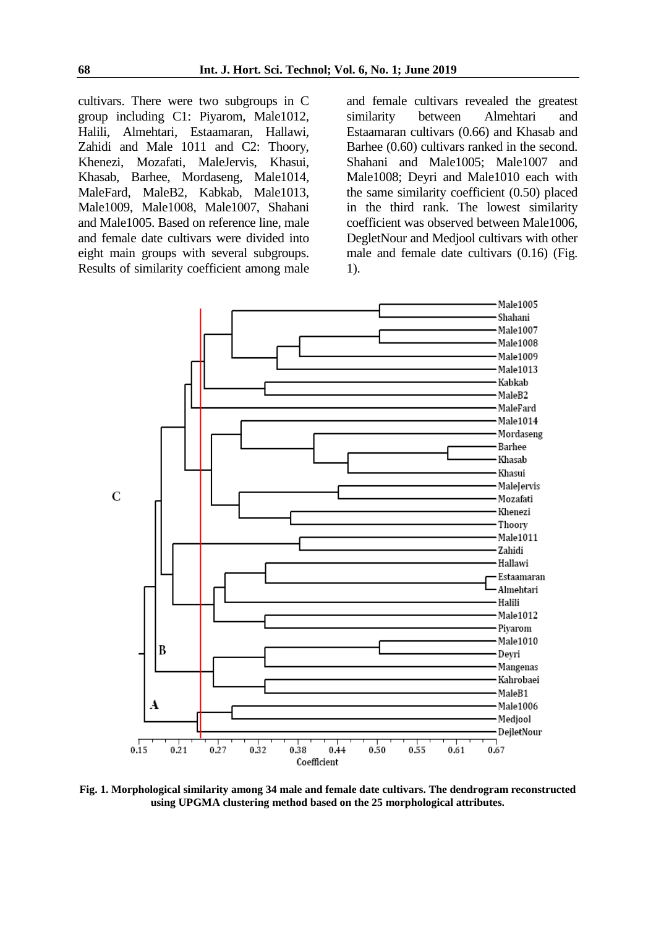cultivars. There were two subgroups in C group including C1: Piyarom, Male1012, Halili, Almehtari, Estaamaran, Hallawi, Zahidi and Male 1011 and C2: Thoory, Khenezi, Mozafati, MaleJervis, Khasui, Khasab, Barhee, Mordaseng, Male1014, MaleFard, MaleB2, Kabkab, Male1013, Male1009, Male1008, Male1007, Shahani and Male1005. Based on reference line, male and female date cultivars were divided into eight main groups with several subgroups. Results of similarity coefficient among male and female cultivars revealed the greatest similarity between Almehtari and Estaamaran cultivars (0.66) and Khasab and Barhee (0.60) cultivars ranked in the second. Shahani and Male1005; Male1007 and Male1008; Deyri and Male1010 each with the same similarity coefficient (0.50) placed in the third rank. The lowest similarity coefficient was observed between Male1006, DegletNour and Medjool cultivars with other male and female date cultivars (0.16) (Fig. 1).



**Fig. 1. Morphological similarity among 34 male and female date cultivars. The dendrogram reconstructed using UPGMA clustering method based on the 25 morphological attributes.**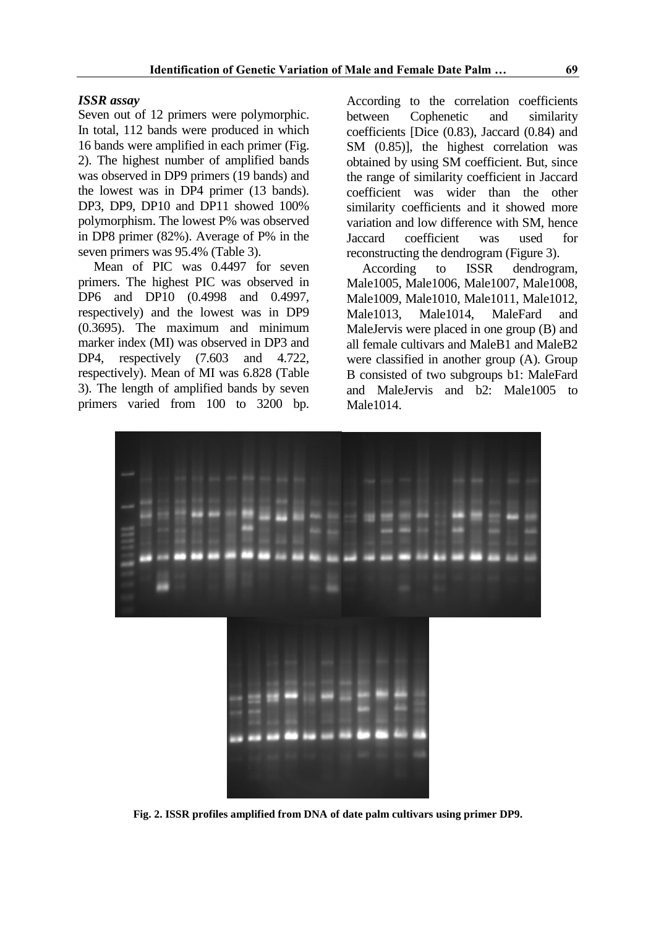#### *ISSR assay*

Seven out of 12 primers were polymorphic. In total, 112 bands were produced in which 16 bands were amplified in each primer (Fig. 2). The highest number of amplified bands was observed in DP9 primers (19 bands) and the lowest was in DP4 primer (13 bands). DP3, DP9, DP10 and DP11 showed 100% polymorphism. The lowest P% was observed in DP8 primer (82%). Average of P% in the seven primers was 95.4% (Table 3).

Mean of PIC was 0.4497 for seven primers. The highest PIC was observed in DP6 and DP10 (0.4998 and 0.4997, respectively) and the lowest was in DP9 (0.3695). The maximum and minimum marker index (MI) was observed in DP3 and DP4, respectively  $(7.603 \text{ and } 4.722)$ , respectively). Mean of MI was 6.828 (Table 3). The length of amplified bands by seven primers varied from 100 to 3200 bp.

According to the correlation coefficients between Cophenetic and similarity coefficients [Dice (0.83), Jaccard (0.84) and SM  $(0.85)$ ], the highest correlation was obtained by using SM coefficient. But, since the range of similarity coefficient in Jaccard coefficient was wider than the other similarity coefficients and it showed more variation and low difference with SM, hence Jaccard coefficient was used for reconstructing the dendrogram (Figure 3).

According to ISSR dendrogram, Male1005, Male1006, Male1007, Male1008, Male1009, Male1010, Male1011, Male1012, Male1013, Male1014, MaleFard and MaleJervis were placed in one group (B) and all female cultivars and MaleB1 and MaleB2 were classified in another group (A). Group B consisted of two subgroups b1: MaleFard and MaleJervis and b2: Male1005 to Male1014.



**Fig. 2. ISSR profiles amplified from DNA of date palm cultivars using primer DP9.**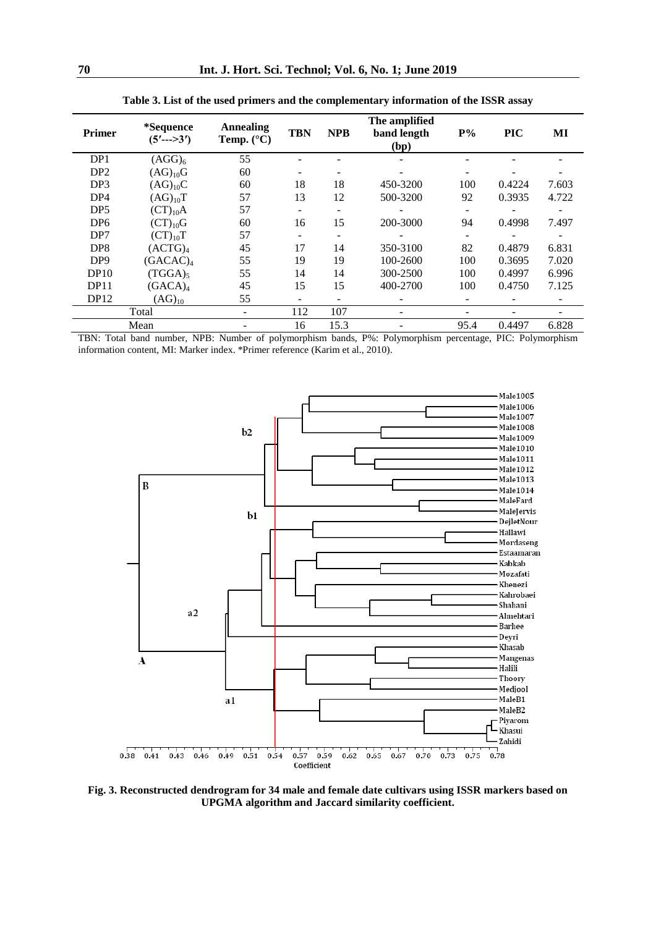| Primer          | *Sequence<br>$(5'$ --->3') | <b>Annealing</b><br>Temp. $(^{\circ}C)$ | <b>TBN</b> | <b>NPB</b> | The amplified<br>band length<br>(bp) | $P\%$ | <b>PIC</b> | MI    |
|-----------------|----------------------------|-----------------------------------------|------------|------------|--------------------------------------|-------|------------|-------|
| DP1             | (AGG) <sub>6</sub>         | 55                                      |            |            |                                      |       |            |       |
| DP <sub>2</sub> | $(AG)_{10}G$               | 60                                      |            |            |                                      |       |            |       |
| DP <sub>3</sub> | $(AG)_{10}C$               | 60                                      | 18         | 18         | 450-3200                             | 100   | 0.4224     | 7.603 |
| DP4             | $(AG)_{10}T$               | 57                                      | 13         | 12         | 500-3200                             | 92    | 0.3935     | 4.722 |
| DP <sub>5</sub> | $(CT)_{10}A$               | 57                                      |            | -          |                                      |       |            |       |
| DP <sub>6</sub> | $(T)_{10}G$                | 60                                      | 16         | 15         | 200-3000                             | 94    | 0.4998     | 7.497 |
| DP7             | $(CT)_{10}T$               | 57                                      |            | ۰          |                                      |       |            |       |
| DP <sub>8</sub> | (ACTG) <sub>4</sub>        | 45                                      | 17         | 14         | 350-3100                             | 82    | 0.4879     | 6.831 |
| DP <sub>9</sub> | (GACAC) <sub>4</sub>       | 55                                      | 19         | 19         | 100-2600                             | 100   | 0.3695     | 7.020 |
| DP10            | (TGGA)                     | 55                                      | 14         | 14         | 300-2500                             | 100   | 0.4997     | 6.996 |
| DP11            | (GACA) <sub>4</sub>        | 45                                      | 15         | 15         | 400-2700                             | 100   | 0.4750     | 7.125 |
| DP12            | $(AG)_{10}$                | 55                                      | -          | ۰          |                                      |       |            | -     |
| Total           |                            | ۰                                       | 112        | 107        |                                      |       |            |       |
|                 | Mean                       |                                         | 16         | 15.3       |                                      | 95.4  | 0.4497     | 6.828 |

**Table 3. List of the used primers and the complementary information of the ISSR assay**

TBN: Total band number, NPB: Number of polymorphism bands, P%: Polymorphism percentage, PIC: Polymorphism information content, MI: Marker index. \*Primer reference (Karim et al., 2010).



**Fig. 3. Reconstructed dendrogram for 34 male and female date cultivars using ISSR markers based on UPGMA algorithm and Jaccard similarity coefficient.**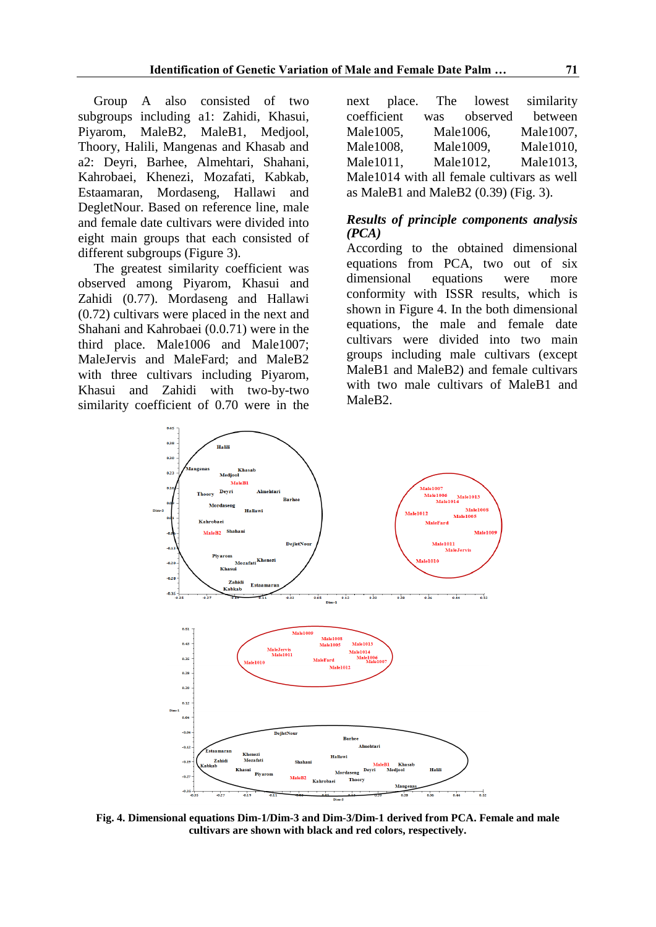Group A also consisted of two subgroups including a1: Zahidi, Khasui, Piyarom, MaleB2, MaleB1, Medjool, Thoory, Halili, Mangenas and Khasab and a2: Deyri, Barhee, Almehtari, Shahani, Kahrobaei, Khenezi, Mozafati, Kabkab, Estaamaran, Mordaseng, Hallawi and DegletNour. Based on reference line, male and female date cultivars were divided into eight main groups that each consisted of different subgroups (Figure 3).

The greatest similarity coefficient was observed among Piyarom, Khasui and Zahidi (0.77). Mordaseng and Hallawi (0.72) cultivars were placed in the next and Shahani and Kahrobaei (0.0.71) were in the third place. Male1006 and Male1007; MaleJervis and MaleFard; and MaleB2 with three cultivars including Piyarom, Khasui and Zahidi with two-by-two similarity coefficient of 0.70 were in the

|                                         | next place. | The | lowest    | similarity                                 |  |  |
|-----------------------------------------|-------------|-----|-----------|--------------------------------------------|--|--|
| coefficient                             |             | was | observed  | between                                    |  |  |
| Male1005,                               |             |     | Male1006, | Male1007,                                  |  |  |
| Male1008,                               |             |     | Male1009, | Male1010,                                  |  |  |
| Male1011,                               |             |     | Male1012, | Male1013,                                  |  |  |
|                                         |             |     |           | Male1014 with all female cultivars as well |  |  |
| as MaleB1 and MaleB2 $(0.39)$ (Fig. 3). |             |     |           |                                            |  |  |

#### *Results of principle components analysis (PCA)*

According to the obtained dimensional equations from PCA, two out of six dimensional equations were more conformity with ISSR results, which is shown in Figure 4. In the both dimensional equations, the male and female date cultivars were divided into two main groups including male cultivars (except MaleB1 and MaleB2) and female cultivars with two male cultivars of MaleB1 and MaleB2.



**Fig. 4. Dimensional equations Dim-1/Dim-3 and Dim-3/Dim-1 derived from PCA. Female and male cultivars are shown with black and red colors, respectively.**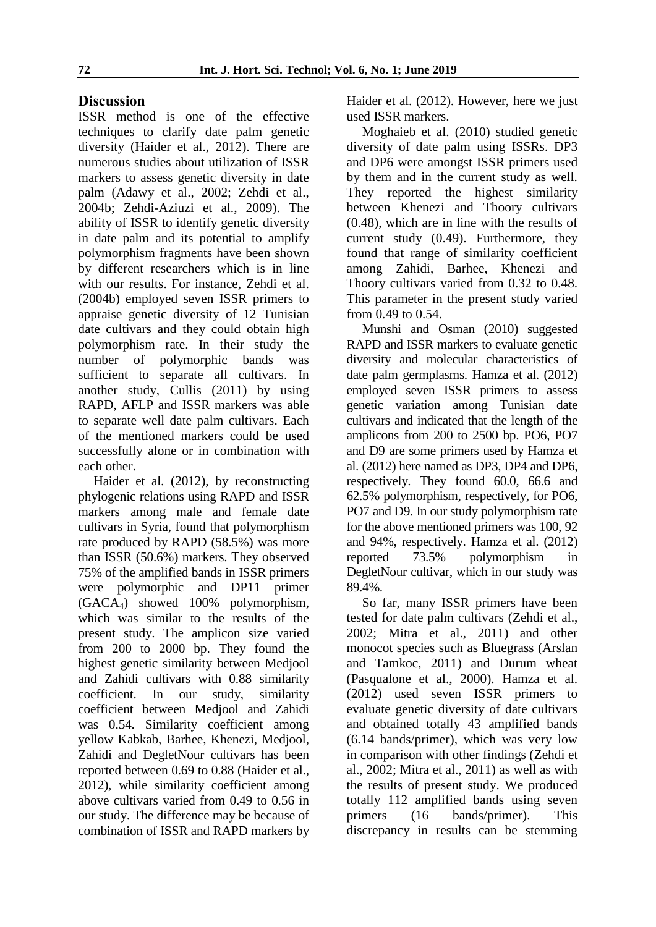# **Discussion**

ISSR method is one of the effective techniques to clarify date palm genetic diversity (Haider et al., 2012). There are numerous studies about utilization of ISSR markers to assess genetic diversity in date palm (Adawy et al., 2002; Zehdi et al., 2004b; Zehdi-Aziuzi et al., 2009). The ability of ISSR to identify genetic diversity in date palm and its potential to amplify polymorphism fragments have been shown by different researchers which is in line with our results. For instance, Zehdi et al. (2004b) employed seven ISSR primers to appraise genetic diversity of 12 Tunisian date cultivars and they could obtain high polymorphism rate. In their study the number of polymorphic bands was sufficient to separate all cultivars. In another study, Cullis (2011) by using RAPD, AFLP and ISSR markers was able to separate well date palm cultivars. Each of the mentioned markers could be used successfully alone or in combination with each other.

Haider et al. (2012), by reconstructing phylogenic relations using RAPD and ISSR markers among male and female date cultivars in Syria, found that polymorphism rate produced by RAPD (58.5%) was more than ISSR (50.6%) markers. They observed 75% of the amplified bands in ISSR primers were polymorphic and DP11 primer (GACA4) showed 100% polymorphism, which was similar to the results of the present study. The amplicon size varied from 200 to 2000 bp. They found the highest genetic similarity between Medjool and Zahidi cultivars with 0.88 similarity coefficient. In our study, similarity coefficient between Medjool and Zahidi was 0.54. Similarity coefficient among yellow Kabkab, Barhee, Khenezi, Medjool, Zahidi and DegletNour cultivars has been reported between 0.69 to 0.88 (Haider et al., 2012), while similarity coefficient among above cultivars varied from 0.49 to 0.56 in our study. The difference may be because of combination of ISSR and RAPD markers by

Haider et al. (2012). However, here we just used ISSR markers.

Moghaieb et al. (2010) studied genetic diversity of date palm using ISSRs. DP3 and DP6 were amongst ISSR primers used by them and in the current study as well. They reported the highest similarity between Khenezi and Thoory cultivars (0.48), which are in line with the results of current study (0.49). Furthermore, they found that range of similarity coefficient among Zahidi, Barhee, Khenezi and Thoory cultivars varied from 0.32 to 0.48. This parameter in the present study varied from 0.49 to 0.54.

Munshi and Osman (2010) suggested RAPD and ISSR markers to evaluate genetic diversity and molecular characteristics of date palm germplasms. Hamza et al. (2012) employed seven ISSR primers to assess genetic variation among Tunisian date cultivars and indicated that the length of the amplicons from 200 to 2500 bp. PO6, PO7 and D9 are some primers used by Hamza et al. (2012) here named as DP3, DP4 and DP6, respectively. They found 60.0, 66.6 and 62.5% polymorphism, respectively, for PO6, PO7 and D9. In our study polymorphism rate for the above mentioned primers was 100, 92 and 94%, respectively. Hamza et al. (2012) reported 73.5% polymorphism in DegletNour cultivar, which in our study was 89.4%.

So far, many ISSR primers have been tested for date palm cultivars (Zehdi et al., 2002; Mitra et al., 2011) and other monocot species such as Bluegrass (Arslan and Tamkoc, 2011) and Durum wheat (Pasqualone et al., 2000). Hamza et al. (2012) used seven ISSR primers to evaluate genetic diversity of date cultivars and obtained totally 43 amplified bands (6.14 bands/primer), which was very low in comparison with other findings (Zehdi et al., 2002; Mitra et al., 2011) as well as with the results of present study. We produced totally 112 amplified bands using seven primers (16 bands/primer). This discrepancy in results can be stemming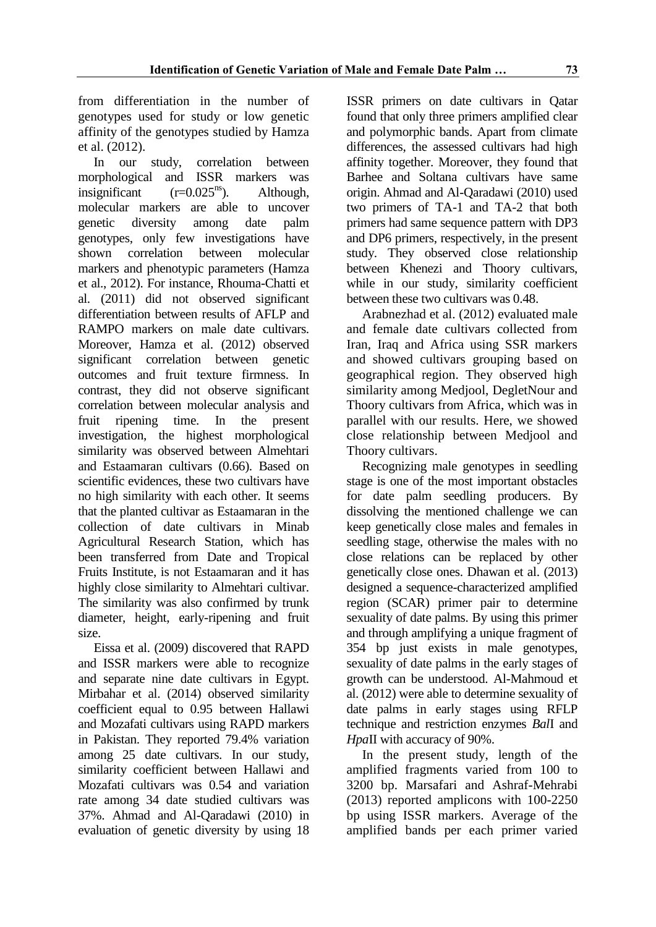from differentiation in the number of genotypes used for study or low genetic affinity of the genotypes studied by Hamza et al. (2012).

In our study, correlation between morphological and ISSR markers was insignificant  $(r=0.025^{ns})$ . Although, molecular markers are able to uncover genetic diversity among date palm genotypes, only few investigations have shown correlation between molecular markers and phenotypic parameters (Hamza et al., 2012). For instance, Rhouma-Chatti et al. (2011) did not observed significant differentiation between results of AFLP and RAMPO markers on male date cultivars. Moreover, Hamza et al. (2012) observed significant correlation between genetic outcomes and fruit texture firmness. In contrast, they did not observe significant correlation between molecular analysis and fruit ripening time. In the present investigation, the highest morphological similarity was observed between Almehtari and Estaamaran cultivars (0.66). Based on scientific evidences, these two cultivars have no high similarity with each other. It seems that the planted cultivar as Estaamaran in the collection of date cultivars in Minab Agricultural Research Station, which has been transferred from Date and Tropical Fruits Institute, is not Estaamaran and it has highly close similarity to Almehtari cultivar. The similarity was also confirmed by trunk diameter, height, early-ripening and fruit size.

Eissa et al. (2009) discovered that RAPD and ISSR markers were able to recognize and separate nine date cultivars in Egypt. Mirbahar et al. (2014) observed similarity coefficient equal to 0.95 between Hallawi and Mozafati cultivars using RAPD markers in Pakistan. They reported 79.4% variation among 25 date cultivars. In our study, similarity coefficient between Hallawi and Mozafati cultivars was 0.54 and variation rate among 34 date studied cultivars was 37%. Ahmad and Al-Qaradawi (2010) in evaluation of genetic diversity by using 18 ISSR primers on date cultivars in Qatar found that only three primers amplified clear and polymorphic bands. Apart from climate differences, the assessed cultivars had high affinity together. Moreover, they found that Barhee and Soltana cultivars have same origin. Ahmad and Al-Qaradawi (2010) used two primers of TA-1 and TA-2 that both primers had same sequence pattern with DP3 and DP6 primers, respectively, in the present study. They observed close relationship between Khenezi and Thoory cultivars, while in our study, similarity coefficient between these two cultivars was 0.48.

Arabnezhad et al. (2012) evaluated male and female date cultivars collected from Iran, Iraq and Africa using SSR markers and showed cultivars grouping based on geographical region. They observed high similarity among Medjool, DegletNour and Thoory cultivars from Africa, which was in parallel with our results. Here, we showed close relationship between Medjool and Thoory cultivars.

Recognizing male genotypes in seedling stage is one of the most important obstacles for date palm seedling producers. By dissolving the mentioned challenge we can keep genetically close males and females in seedling stage, otherwise the males with no close relations can be replaced by other genetically close ones. Dhawan et al. (2013) designed a sequence-characterized amplified region (SCAR) primer pair to determine sexuality of date palms. By using this primer and through amplifying a unique fragment of 354 bp just exists in male genotypes, sexuality of date palms in the early stages of growth can be understood. Al-Mahmoud et al. (2012) were able to determine sexuality of date palms in early stages using RFLP technique and restriction enzymes *Bal*I and *Hpa*II with accuracy of 90%.

In the present study, length of the amplified fragments varied from 100 to 3200 bp. Marsafari and Ashraf-Mehrabi (2013) reported amplicons with 100-2250 bp using ISSR markers. Average of the amplified bands per each primer varied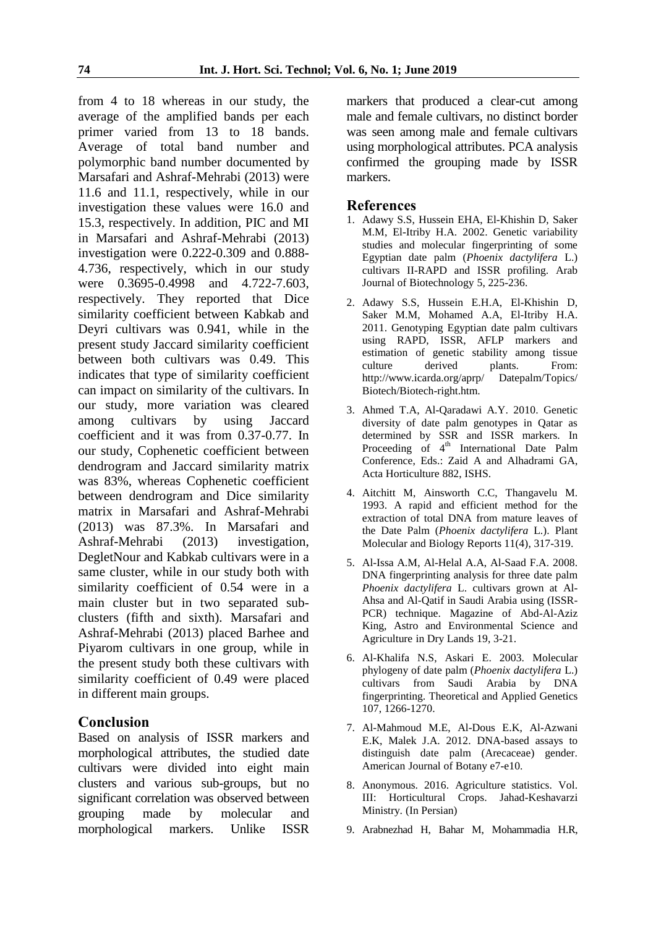from 4 to 18 whereas in our study, the average of the amplified bands per each primer varied from 13 to 18 bands. Average of total band number and polymorphic band number documented by Marsafari and Ashraf-Mehrabi (2013) were 11.6 and 11.1, respectively, while in our investigation these values were 16.0 and 15.3, respectively. In addition, PIC and MI in Marsafari and Ashraf-Mehrabi (2013) investigation were 0.222-0.309 and 0.888- 4.736, respectively, which in our study were 0.3695-0.4998 and 4.722-7.603, respectively. They reported that Dice similarity coefficient between Kabkab and Deyri cultivars was 0.941, while in the present study Jaccard similarity coefficient between both cultivars was 0.49. This indicates that type of similarity coefficient can impact on similarity of the cultivars. In our study, more variation was cleared among cultivars by using Jaccard coefficient and it was from 0.37-0.77. In our study, Cophenetic coefficient between dendrogram and Jaccard similarity matrix was 83%, whereas Cophenetic coefficient between dendrogram and Dice similarity matrix in Marsafari and Ashraf-Mehrabi (2013) was 87.3%. In Marsafari and Ashraf-Mehrabi (2013) investigation, DegletNour and Kabkab cultivars were in a same cluster, while in our study both with similarity coefficient of 0.54 were in a main cluster but in two separated subclusters (fifth and sixth). Marsafari and Ashraf-Mehrabi (2013) placed Barhee and Piyarom cultivars in one group, while in the present study both these cultivars with similarity coefficient of 0.49 were placed in different main groups.

## **Conclusion**

Based on analysis of ISSR markers and morphological attributes, the studied date cultivars were divided into eight main clusters and various sub-groups, but no significant correlation was observed between grouping made by molecular and morphological markers. Unlike ISSR markers that produced a clear-cut among male and female cultivars, no distinct border was seen among male and female cultivars using morphological attributes. PCA analysis confirmed the grouping made by ISSR markers.

## **References**

- 1. Adawy S.S, Hussein EHA, El-Khishin D, Saker M.M, El-Itriby H.A. 2002. Genetic variability studies and molecular fingerprinting of some Egyptian date palm (*Phoenix dactylifera* L.) cultivars II-RAPD and ISSR profiling. Arab Journal of Biotechnology 5, 225-236.
- 2. Adawy S.S, Hussein E.H.A, El-Khishin D, Saker M.M, Mohamed A.A, El-Itriby H.A. 2011. Genotyping Egyptian date palm cultivars using RAPD, ISSR, AFLP markers and estimation of genetic stability among tissue culture derived plants. From: http://www.icarda.org/aprp/ Datepalm/Topics/ Biotech/Biotech-right.htm.
- 3. Ahmed T.A, Al-Qaradawi A.Y. 2010. Genetic diversity of date palm genotypes in Qatar as determined by SSR and ISSR markers. In Proceeding of 4<sup>th</sup> International Date Palm Conference, Eds.: Zaid A and Alhadrami GA, Acta Horticulture 882, ISHS.
- 4. Aitchitt M, Ainsworth C.C, Thangavelu M. 1993. A rapid and efficient method for the extraction of total DNA from mature leaves of the Date Palm (*Phoenix dactylifera* L.). Plant Molecular and Biology Reports 11(4), 317-319.
- 5. Al-Issa A.M, Al-Helal A.A, Al-Saad F.A. 2008. DNA fingerprinting analysis for three date palm *Phoenix dactylifera* L. cultivars grown at Al-Ahsa and Al-Qatif in Saudi Arabia using (ISSR-PCR) technique. Magazine of Abd-Al-Aziz King, Astro and Environmental Science and Agriculture in Dry Lands 19, 3-21.
- 6. Al-Khalifa N.S, Askari E. 2003. Molecular phylogeny of date palm (*Phoenix dactylifera* L.) cultivars from Saudi Arabia by DNA fingerprinting. Theoretical and Applied Genetics 107, 1266-1270.
- 7. Al-Mahmoud M.E, Al-Dous E.K, Al-Azwani E.K, Malek J.A. 2012. DNA-based assays to distinguish date palm (Arecaceae) gender. American Journal of Botany e7-e10.
- 8. Anonymous. 2016. Agriculture statistics. Vol. III: Horticultural Crops. Jahad-Keshavarzi Ministry. (In Persian)
- 9. Arabnezhad H, Bahar M, Mohammadia H.R,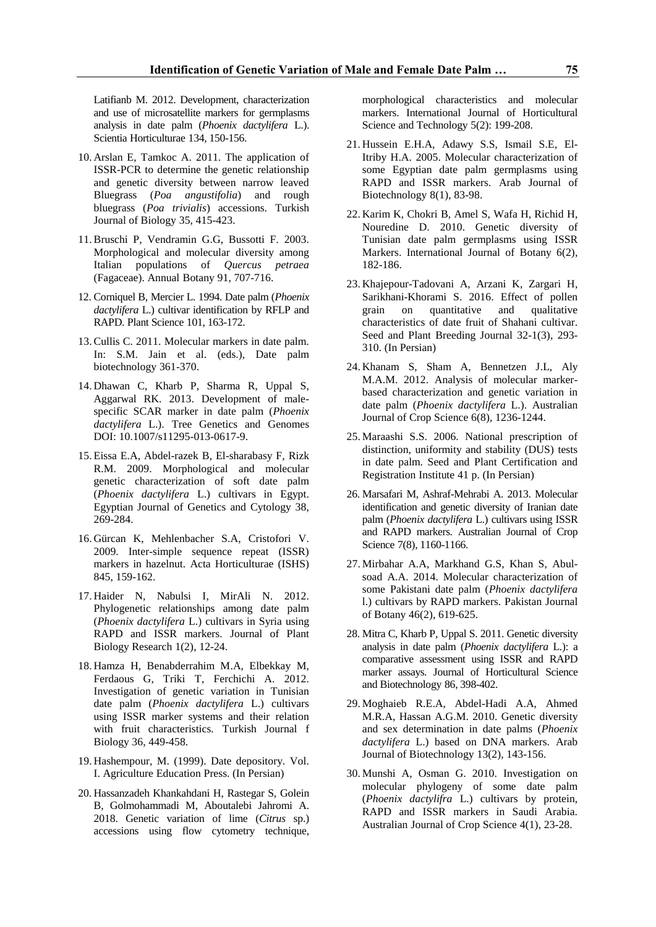Latifianb M. 2012. Development, characterization and use of microsatellite markers for germplasms analysis in date palm (*Phoenix dactylifera* L.). Scientia Horticulturae 134, 150-156.

- 10. Arslan E, Tamkoc A. 2011. The application of ISSR-PCR to determine the genetic relationship and genetic diversity between narrow leaved Bluegrass (*Poa angustifolia*) and rough bluegrass (*Poa trivialis*) accessions. Turkish Journal of Biology 35, 415-423.
- 11.Bruschi P, Vendramin G.G, Bussotti F. 2003. Morphological and molecular diversity among Italian populations of *Quercus petraea* (Fagaceae). Annual Botany 91, 707-716.
- 12. Corniquel B, Mercier L. 1994. Date palm (*Phoenix dactylifera* L.) cultivar identification by RFLP and RAPD. Plant Science 101, 163-172.
- 13.Cullis C. 2011. Molecular markers in date palm. In: S.M. Jain et al. (eds.), Date palm biotechnology 361-370.
- 14. Dhawan C, Kharb P, Sharma R, Uppal S, Aggarwal RK. 2013. Development of malespecific SCAR marker in date palm (*Phoenix dactylifera* L.). Tree Genetics and Genomes DOI: 10.1007/s11295-013-0617-9.
- 15. Eissa E.A, Abdel-razek B, El-sharabasy F, Rizk R.M. 2009. Morphological and molecular genetic characterization of soft date palm (*Phoenix dactylifera* L.) cultivars in Egypt. Egyptian Journal of Genetics and Cytology 38, 269-284.
- 16. Gürcan K, Mehlenbacher S.A, Cristofori V. 2009. Inter-simple sequence repeat (ISSR) markers in hazelnut. Acta Horticulturae (ISHS) 845, 159-162.
- 17. Haider N, Nabulsi I, MirAli N. 2012. Phylogenetic relationships among date palm (*Phoenix dactylifera* L.) cultivars in Syria using RAPD and ISSR markers. Journal of Plant Biology Research 1(2), 12-24.
- 18. Hamza H, Benabderrahim M.A, Elbekkay M, Ferdaous G, Triki T, Ferchichi A. 2012. Investigation of genetic variation in Tunisian date palm (*Phoenix dactylifera* L.) cultivars using ISSR marker systems and their relation with fruit characteristics. Turkish Journal f Biology 36, 449-458.
- 19. Hashempour, M. (1999). Date depository. Vol. I. Agriculture Education Press. (In Persian)
- 20. Hassanzadeh Khankahdani H, Rastegar S, Golein B, Golmohammadi M, Aboutalebi Jahromi A. 2018. Genetic variation of lime (*Citrus* sp.) accessions using flow cytometry technique,

morphological characteristics and molecular markers. International Journal of Horticultural Science and Technology 5(2): 199-208.

- 21. Hussein E.H.A, Adawy S.S, Ismail S.E, El-Itriby H.A. 2005. Molecular characterization of some Egyptian date palm germplasms using RAPD and ISSR markers. Arab Journal of Biotechnology 8(1), 83-98.
- 22. Karim K, Chokri B, Amel S, Wafa H, Richid H, Nouredine D. 2010. Genetic diversity of Tunisian date palm germplasms using ISSR Markers. International Journal of Botany 6(2), 182-186.
- 23. Khajepour-Tadovani A, Arzani K, Zargari H, Sarikhani-Khorami S. 2016. Effect of pollen grain on quantitative and qualitative characteristics of date fruit of Shahani cultivar. Seed and Plant Breeding Journal 32-1(3), 293- 310. (In Persian)
- 24. Khanam S, Sham A, Bennetzen J.L, Aly M.A.M. 2012. Analysis of molecular markerbased characterization and genetic variation in date palm (*Phoenix dactylifera* L.). Australian Journal of Crop Science 6(8), 1236-1244.
- 25. Maraashi S.S. 2006. National prescription of distinction, uniformity and stability (DUS) tests in date palm. Seed and Plant Certification and Registration Institute 41 p. (In Persian)
- 26. Marsafari M, Ashraf-Mehrabi A. 2013. Molecular identification and genetic diversity of Iranian date palm (*Phoenix dactylifera* L.) cultivars using ISSR and RAPD markers. Australian Journal of Crop Science 7(8), 1160-1166.
- 27. Mirbahar A.A, Markhand G.S, Khan S, Abulsoad A.A. 2014. Molecular characterization of some Pakistani date palm (*Phoenix dactylifera*  l.) cultivars by RAPD markers. Pakistan Journal of Botany 46(2), 619-625.
- 28. Mitra C, Kharb P, Uppal S. 2011. Genetic diversity analysis in date palm (*Phoenix dactylifera* L.): a comparative assessment using ISSR and RAPD marker assays. Journal of Horticultural Science and Biotechnology 86, 398-402.
- 29. Moghaieb R.E.A, Abdel-Hadi A.A, Ahmed M.R.A, Hassan A.G.M. 2010. Genetic diversity and sex determination in date palms (*Phoenix dactylifera* L.) based on DNA markers. Arab Journal of Biotechnology 13(2), 143-156.
- 30. Munshi A, Osman G. 2010. Investigation on molecular phylogeny of some date palm (*Phoenix dactylifra* L.) cultivars by protein, RAPD and ISSR markers in Saudi Arabia. Australian Journal of Crop Science 4(1), 23-28.